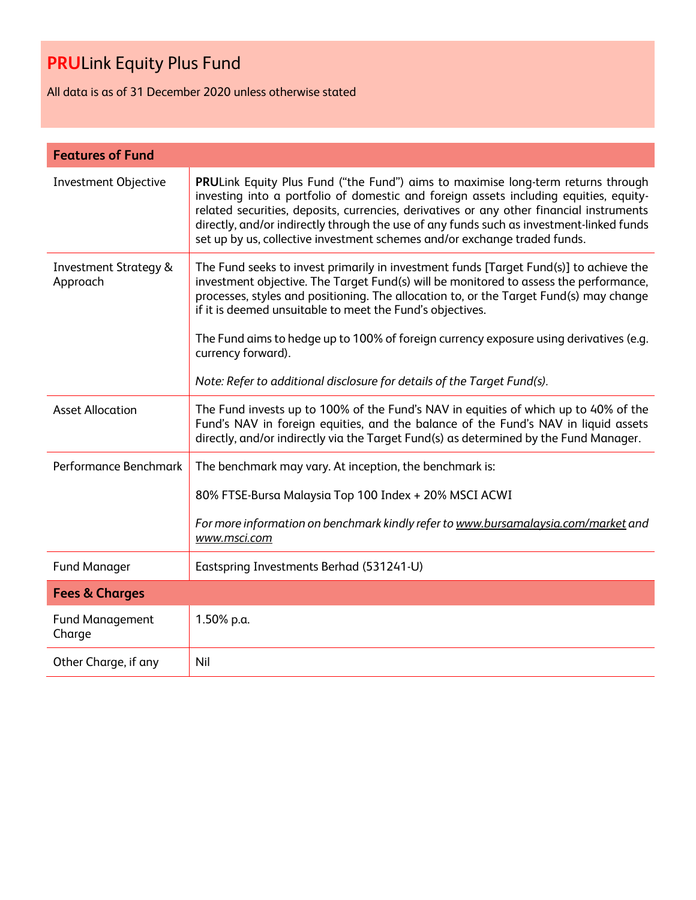All data is as of 31 December 2020 unless otherwise stated

| <b>Features of Fund</b>                      |                                                                                                                                                                                                                                                                                                                                                                                                                                                        |
|----------------------------------------------|--------------------------------------------------------------------------------------------------------------------------------------------------------------------------------------------------------------------------------------------------------------------------------------------------------------------------------------------------------------------------------------------------------------------------------------------------------|
| <b>Investment Objective</b>                  | PRULink Equity Plus Fund ("the Fund") aims to maximise long-term returns through<br>investing into a portfolio of domestic and foreign assets including equities, equity-<br>related securities, deposits, currencies, derivatives or any other financial instruments<br>directly, and/or indirectly through the use of any funds such as investment-linked funds<br>set up by us, collective investment schemes and/or exchange traded funds.         |
| <b>Investment Strategy &amp;</b><br>Approach | The Fund seeks to invest primarily in investment funds [Target Fund(s)] to achieve the<br>investment objective. The Target Fund(s) will be monitored to assess the performance,<br>processes, styles and positioning. The allocation to, or the Target Fund(s) may change<br>if it is deemed unsuitable to meet the Fund's objectives.<br>The Fund aims to hedge up to 100% of foreign currency exposure using derivatives (e.g.<br>currency forward). |
|                                              | Note: Refer to additional disclosure for details of the Target Fund(s).                                                                                                                                                                                                                                                                                                                                                                                |
| <b>Asset Allocation</b>                      | The Fund invests up to 100% of the Fund's NAV in equities of which up to 40% of the<br>Fund's NAV in foreign equities, and the balance of the Fund's NAV in liquid assets<br>directly, and/or indirectly via the Target Fund(s) as determined by the Fund Manager.                                                                                                                                                                                     |
| Performance Benchmark                        | The benchmark may vary. At inception, the benchmark is:                                                                                                                                                                                                                                                                                                                                                                                                |
|                                              | 80% FTSE-Bursa Malaysia Top 100 Index + 20% MSCI ACWI                                                                                                                                                                                                                                                                                                                                                                                                  |
|                                              | For more information on benchmark kindly refer to www.bursamalaysia.com/market and<br>www.msci.com                                                                                                                                                                                                                                                                                                                                                     |
| <b>Fund Manager</b>                          | Eastspring Investments Berhad (531241-U)                                                                                                                                                                                                                                                                                                                                                                                                               |
| <b>Fees &amp; Charges</b>                    |                                                                                                                                                                                                                                                                                                                                                                                                                                                        |
| <b>Fund Management</b><br>Charge             | 1.50% p.a.                                                                                                                                                                                                                                                                                                                                                                                                                                             |
| Other Charge, if any                         | Nil                                                                                                                                                                                                                                                                                                                                                                                                                                                    |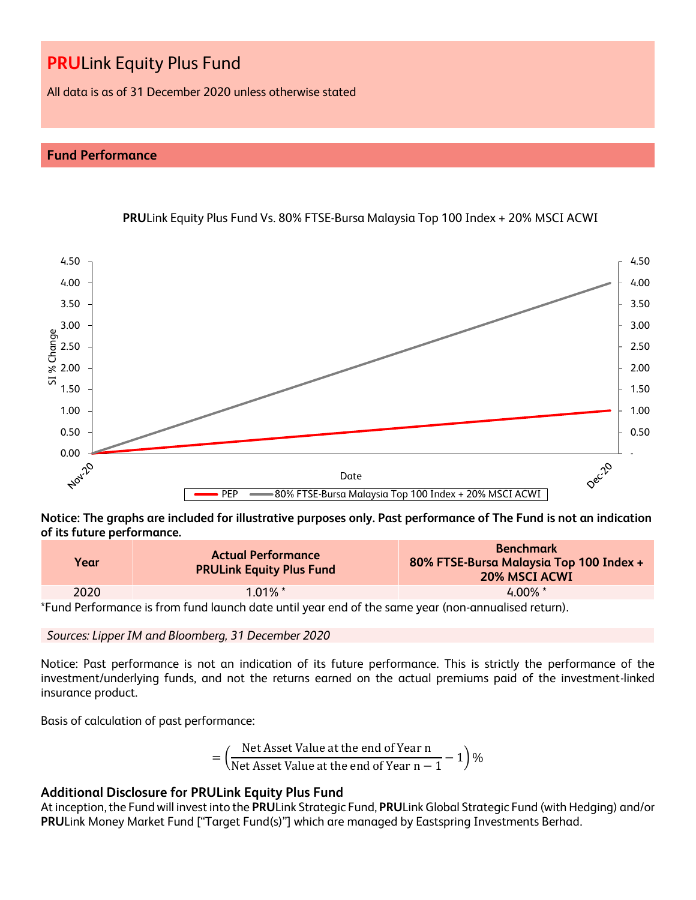All data is as of 31 December 2020 unless otherwise stated

# **Fund Performance**



**PRU**Link Equity Plus Fund Vs. 80% FTSE-Bursa Malaysia Top 100 Index + 20% MSCI ACWI

**Notice: The graphs are included for illustrative purposes only. Past performance of The Fund is not an indication of its future performance.**

| Year | <b>Actual Performance</b><br><b>PRULink Equity Plus Fund</b> | <b>Benchmark</b><br>80% FTSE-Bursa Malaysia Top 100 Index +<br><b>20% MSCI ACWI</b> |  |  |  |  |
|------|--------------------------------------------------------------|-------------------------------------------------------------------------------------|--|--|--|--|
| 2020 | $1.01\%$ *                                                   | $4.00\%$ *                                                                          |  |  |  |  |

\*Fund Performance is from fund launch date until year end of the same year (non-annualised return).

*Sources: Lipper IM and Bloomberg, 31 December 2020*

Notice: Past performance is not an indication of its future performance. This is strictly the performance of the investment/underlying funds, and not the returns earned on the actual premiums paid of the investment-linked insurance product.

Basis of calculation of past performance:

$$
= \left(\frac{\text{Net Asset Value at the end of Year n}}{\text{Net Asset Value at the end of Year n} - 1}\right)\%
$$

# **Additional Disclosure for PRULink Equity Plus Fund**

At inception, the Fund will invest into the **PRU**Link Strategic Fund, **PRU**Link Global Strategic Fund (with Hedging) and/or **PRU**Link Money Market Fund ["Target Fund(s)"] which are managed by Eastspring Investments Berhad.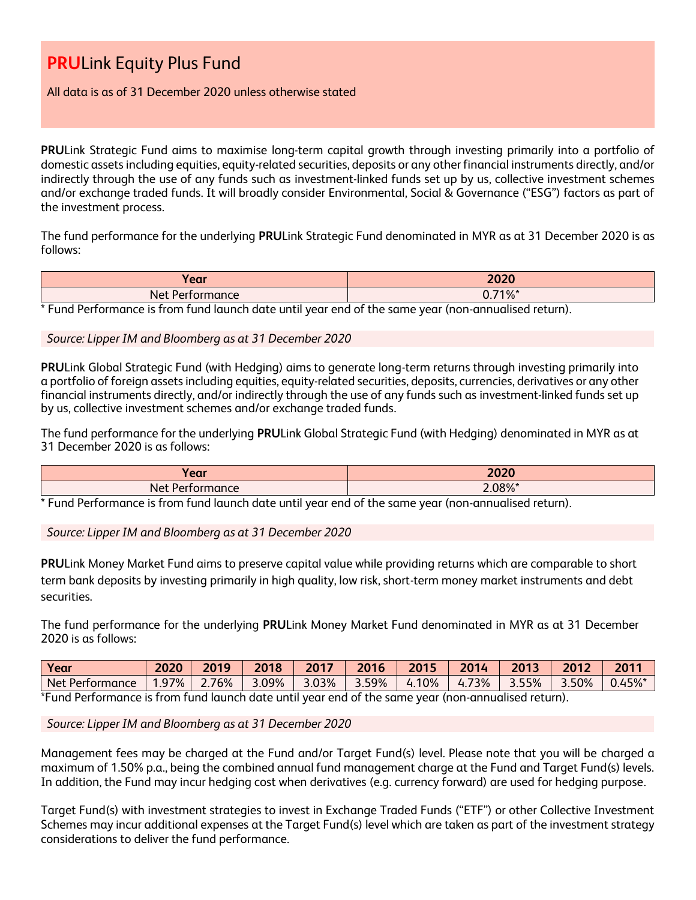# All data is as of 31 December 2020 unless otherwise stated

**PRU**Link Strategic Fund aims to maximise long-term capital growth through investing primarily into a portfolio of domestic assets including equities, equity-related securities, deposits or any other financial instruments directly, and/or indirectly through the use of any funds such as investment-linked funds set up by us, collective investment schemes and/or exchange traded funds. It will broadly consider Environmental, Social & Governance ("ESG") factors as part of the investment process.

The fund performance for the underlying **PRU**Link Strategic Fund denominated in MYR as at 31 December 2020 is as follows:

| rear)            | 2020       |
|------------------|------------|
| Net Performance  | $0.71\%$ * |
| .<br>$\sim$<br>. | .          |

\* Fund Performance is from fund launch date until year end of the same year (non-annualised return).

# *Source: Lipper IM and Bloomberg as at 31 December 2020*

**PRU**Link Global Strategic Fund (with Hedging) aims to generate long-term returns through investing primarily into a portfolio of foreign assets including equities, equity-related securities, deposits, currencies, derivatives or any other financial instruments directly, and/or indirectly through the use of any funds such as investment-linked funds set up by us, collective investment schemes and/or exchange traded funds.

The fund performance for the underlying **PRU**Link Global Strategic Fund (with Hedging) denominated in MYR as at 31 December 2020 is as follows:

| $I$ orr<br><b>CAL</b> | 2020   |
|-----------------------|--------|
| Net<br>nance          | 2.08%* |

\* Fund Performance is from fund launch date until year end of the same year (non-annualised return).

*Source: Lipper IM and Bloomberg as at 31 December 2020*

**PRU**Link Money Market Fund aims to preserve capital value while providing returns which are comparable to short term bank deposits by investing primarily in high quality, low risk, short-term money market instruments and debt securities.

The fund performance for the underlying **PRU**Link Money Market Fund denominated in MYR as at 31 December 2020 is as follows:

| Year                                                                                                             | 2020 | 2019  | 2018  | 2017  | 2016  | 2015  | 2014  | 2013  | 2012  | 2011      |
|------------------------------------------------------------------------------------------------------------------|------|-------|-------|-------|-------|-------|-------|-------|-------|-----------|
| Net Performance                                                                                                  | .97% | 2.76% | 3.09% | 3.03% | 3.59% | 4.10% | 4.73% | 3.55% | 3.50% | $0.45%$ * |
| *Econol Daufause au sa ia fuana fouad bocuada data contil coau anal af tha agus a coau fuana aunoculia adudadous |      |       |       |       |       |       |       |       |       |           |

\*Fund Performance is from fund launch date until year end of the same year (non-annualised return).

*Source: Lipper IM and Bloomberg as at 31 December 2020*

Management fees may be charged at the Fund and/or Target Fund(s) level. Please note that you will be charged a maximum of 1.50% p.a., being the combined annual fund management charge at the Fund and Target Fund(s) levels. In addition, the Fund may incur hedging cost when derivatives (e.g. currency forward) are used for hedging purpose.

Target Fund(s) with investment strategies to invest in Exchange Traded Funds ("ETF") or other Collective Investment Schemes may incur additional expenses at the Target Fund(s) level which are taken as part of the investment strategy considerations to deliver the fund performance.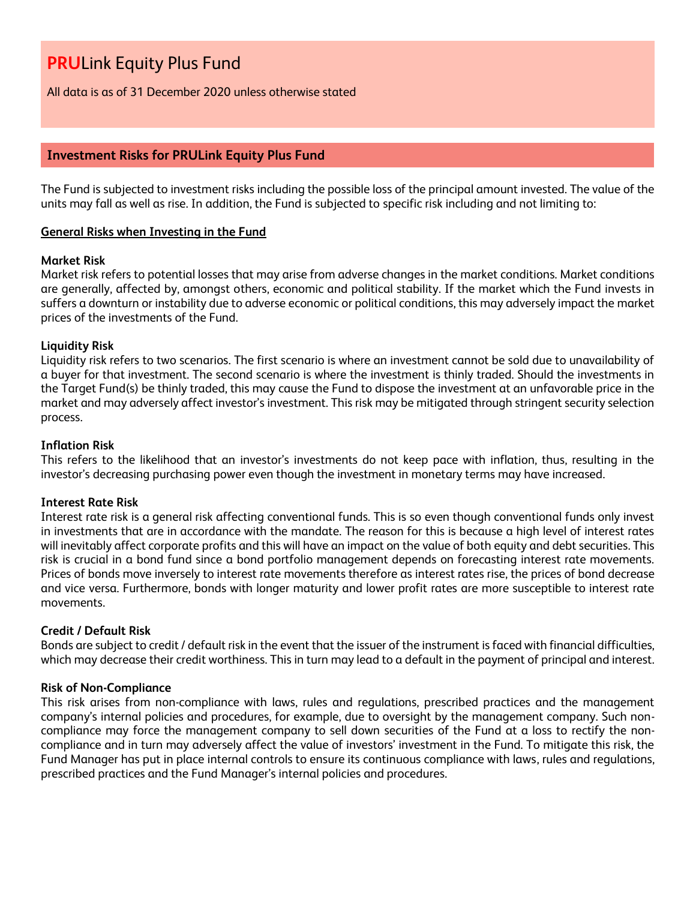All data is as of 31 December 2020 unless otherwise stated

# **Investment Risks for PRULink Equity Plus Fund**

The Fund is subjected to investment risks including the possible loss of the principal amount invested. The value of the units may fall as well as rise. In addition, the Fund is subjected to specific risk including and not limiting to:

# **General Risks when Investing in the Fund**

#### **Market Risk**

Market risk refers to potential losses that may arise from adverse changes in the market conditions. Market conditions are generally, affected by, amongst others, economic and political stability. If the market which the Fund invests in suffers a downturn or instability due to adverse economic or political conditions, this may adversely impact the market prices of the investments of the Fund.

#### **Liquidity Risk**

Liquidity risk refers to two scenarios. The first scenario is where an investment cannot be sold due to unavailability of a buyer for that investment. The second scenario is where the investment is thinly traded. Should the investments in the Target Fund(s) be thinly traded, this may cause the Fund to dispose the investment at an unfavorable price in the market and may adversely affect investor's investment. This risk may be mitigated through stringent security selection process.

#### **Inflation Risk**

This refers to the likelihood that an investor's investments do not keep pace with inflation, thus, resulting in the investor's decreasing purchasing power even though the investment in monetary terms may have increased.

# **Interest Rate Risk**

Interest rate risk is a general risk affecting conventional funds. This is so even though conventional funds only invest in investments that are in accordance with the mandate. The reason for this is because a high level of interest rates will inevitably affect corporate profits and this will have an impact on the value of both equity and debt securities. This risk is crucial in a bond fund since a bond portfolio management depends on forecasting interest rate movements. Prices of bonds move inversely to interest rate movements therefore as interest rates rise, the prices of bond decrease and vice versa. Furthermore, bonds with longer maturity and lower profit rates are more susceptible to interest rate movements.

# **Credit / Default Risk**

Bonds are subject to credit / default risk in the event that the issuer of the instrument is faced with financial difficulties, which may decrease their credit worthiness. This in turn may lead to a default in the payment of principal and interest.

# **Risk of Non-Compliance**

This risk arises from non-compliance with laws, rules and regulations, prescribed practices and the management company's internal policies and procedures, for example, due to oversight by the management company. Such noncompliance may force the management company to sell down securities of the Fund at a loss to rectify the noncompliance and in turn may adversely affect the value of investors' investment in the Fund. To mitigate this risk, the Fund Manager has put in place internal controls to ensure its continuous compliance with laws, rules and regulations, prescribed practices and the Fund Manager's internal policies and procedures.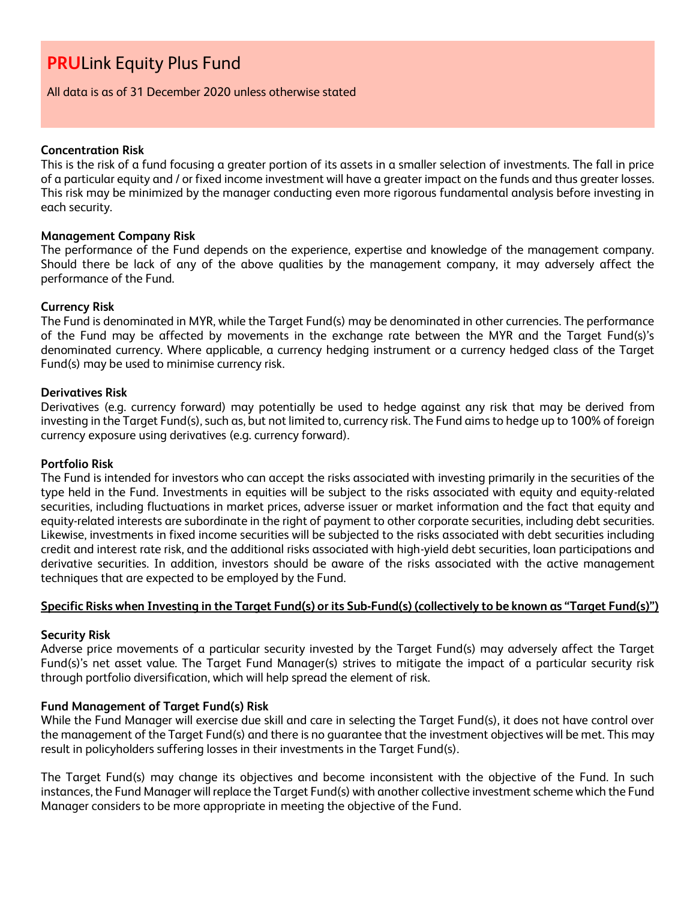All data is as of 31 December 2020 unless otherwise stated

#### **Concentration Risk**

This is the risk of a fund focusing a greater portion of its assets in a smaller selection of investments. The fall in price of a particular equity and / or fixed income investment will have a greater impact on the funds and thus greater losses. This risk may be minimized by the manager conducting even more rigorous fundamental analysis before investing in each security.

#### **Management Company Risk**

The performance of the Fund depends on the experience, expertise and knowledge of the management company. Should there be lack of any of the above qualities by the management company, it may adversely affect the performance of the Fund.

#### **Currency Risk**

The Fund is denominated in MYR, while the Target Fund(s) may be denominated in other currencies. The performance of the Fund may be affected by movements in the exchange rate between the MYR and the Target Fund(s)'s denominated currency. Where applicable, a currency hedging instrument or a currency hedged class of the Target Fund(s) may be used to minimise currency risk.

#### **Derivatives Risk**

Derivatives (e.g. currency forward) may potentially be used to hedge against any risk that may be derived from investing in the Target Fund(s), such as, but not limited to, currency risk. The Fund aims to hedge up to 100% of foreign currency exposure using derivatives (e.g. currency forward).

#### **Portfolio Risk**

The Fund is intended for investors who can accept the risks associated with investing primarily in the securities of the type held in the Fund. Investments in equities will be subject to the risks associated with equity and equity-related securities, including fluctuations in market prices, adverse issuer or market information and the fact that equity and equity-related interests are subordinate in the right of payment to other corporate securities, including debt securities. Likewise, investments in fixed income securities will be subjected to the risks associated with debt securities including credit and interest rate risk, and the additional risks associated with high-yield debt securities, loan participations and derivative securities. In addition, investors should be aware of the risks associated with the active management techniques that are expected to be employed by the Fund.

# **Specific Risks when Investing in the Target Fund(s) or its Sub-Fund(s) (collectively to be known as "Target Fund(s)")**

# **Security Risk**

Adverse price movements of a particular security invested by the Target Fund(s) may adversely affect the Target Fund(s)'s net asset value. The Target Fund Manager(s) strives to mitigate the impact of a particular security risk through portfolio diversification, which will help spread the element of risk.

# **Fund Management of Target Fund(s) Risk**

While the Fund Manager will exercise due skill and care in selecting the Target Fund(s), it does not have control over the management of the Target Fund(s) and there is no guarantee that the investment objectives will be met. This may result in policyholders suffering losses in their investments in the Target Fund(s).

The Target Fund(s) may change its objectives and become inconsistent with the objective of the Fund. In such instances, the Fund Manager will replace the Target Fund(s) with another collective investment scheme which the Fund Manager considers to be more appropriate in meeting the objective of the Fund.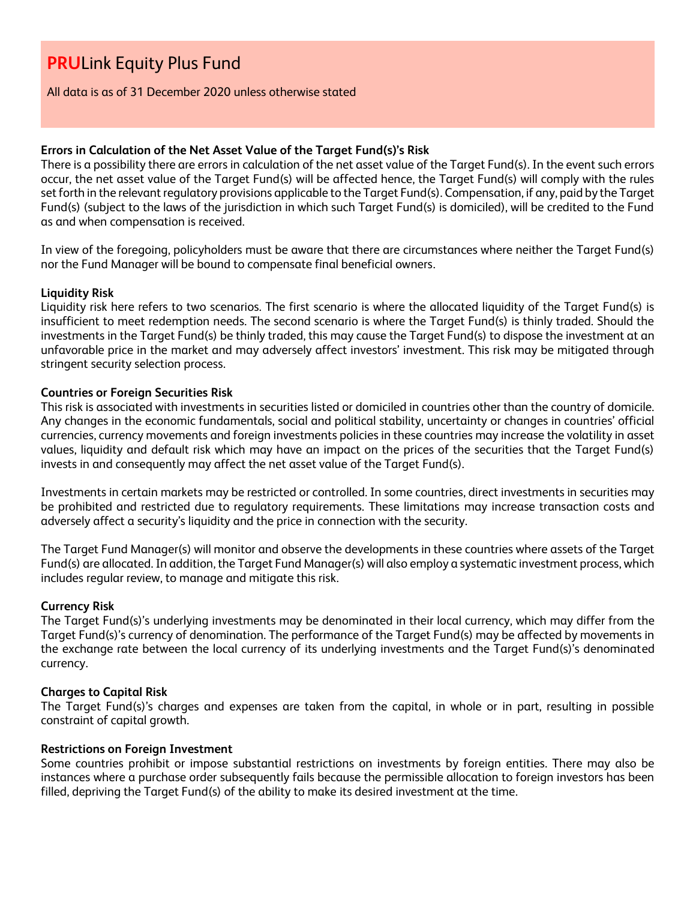All data is as of 31 December 2020 unless otherwise stated

# **Errors in Calculation of the Net Asset Value of the Target Fund(s)'s Risk**

There is a possibility there are errors in calculation of the net asset value of the Target Fund(s). In the event such errors occur, the net asset value of the Target Fund(s) will be affected hence, the Target Fund(s) will comply with the rules set forth in the relevant regulatory provisions applicable to the Target Fund(s). Compensation, if any, paid by the Target Fund(s) (subject to the laws of the jurisdiction in which such Target Fund(s) is domiciled), will be credited to the Fund as and when compensation is received.

In view of the foregoing, policyholders must be aware that there are circumstances where neither the Target Fund(s) nor the Fund Manager will be bound to compensate final beneficial owners.

# **Liquidity Risk**

Liquidity risk here refers to two scenarios. The first scenario is where the allocated liquidity of the Target Fund(s) is insufficient to meet redemption needs. The second scenario is where the Target Fund(s) is thinly traded. Should the investments in the Target Fund(s) be thinly traded, this may cause the Target Fund(s) to dispose the investment at an unfavorable price in the market and may adversely affect investors' investment. This risk may be mitigated through stringent security selection process.

# **Countries or Foreign Securities Risk**

This risk is associated with investments in securities listed or domiciled in countries other than the country of domicile. Any changes in the economic fundamentals, social and political stability, uncertainty or changes in countries' official currencies, currency movements and foreign investments policies in these countries may increase the volatility in asset values, liquidity and default risk which may have an impact on the prices of the securities that the Target Fund(s) invests in and consequently may affect the net asset value of the Target Fund(s).

Investments in certain markets may be restricted or controlled. In some countries, direct investments in securities may be prohibited and restricted due to regulatory requirements. These limitations may increase transaction costs and adversely affect a security's liquidity and the price in connection with the security.

The Target Fund Manager(s) will monitor and observe the developments in these countries where assets of the Target Fund(s) are allocated. In addition, the Target Fund Manager(s) will also employ a systematic investment process, which includes regular review, to manage and mitigate this risk.

# **Currency Risk**

The Target Fund(s)'s underlying investments may be denominated in their local currency, which may differ from the Target Fund(s)'s currency of denomination. The performance of the Target Fund(s) may be affected by movements in the exchange rate between the local currency of its underlying investments and the Target Fund(s)'s denominated currency.

# **Charges to Capital Risk**

The Target Fund(s)'s charges and expenses are taken from the capital, in whole or in part, resulting in possible constraint of capital growth.

# **Restrictions on Foreign Investment**

Some countries prohibit or impose substantial restrictions on investments by foreign entities. There may also be instances where a purchase order subsequently fails because the permissible allocation to foreign investors has been filled, depriving the Target Fund(s) of the ability to make its desired investment at the time.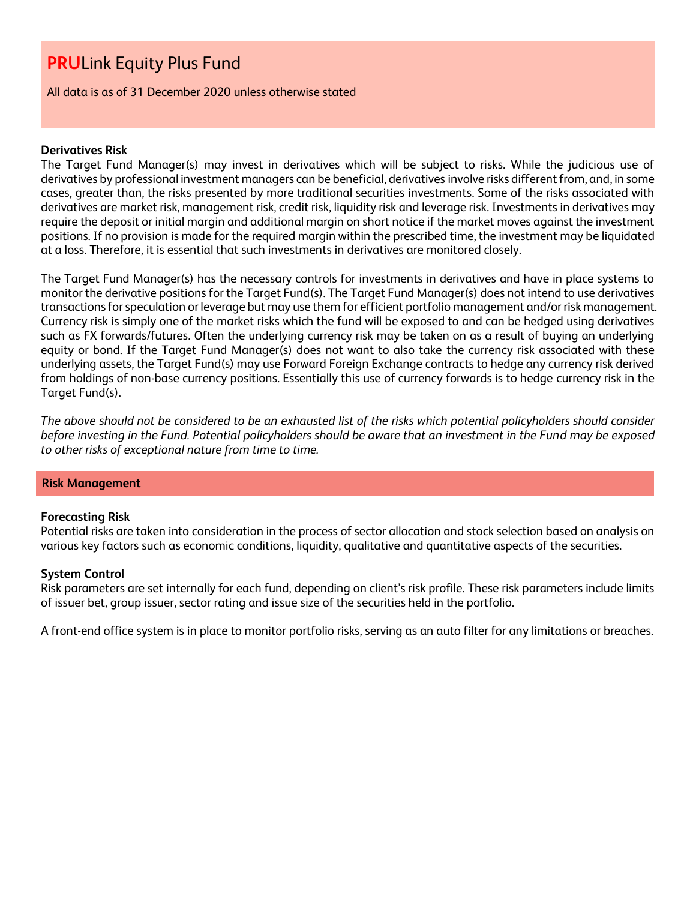All data is as of 31 December 2020 unless otherwise stated

# **Derivatives Risk**

The Target Fund Manager(s) may invest in derivatives which will be subject to risks. While the judicious use of derivatives by professional investment managers can be beneficial, derivatives involve risks different from, and, in some cases, greater than, the risks presented by more traditional securities investments. Some of the risks associated with derivatives are market risk, management risk, credit risk, liquidity risk and leverage risk. Investments in derivatives may require the deposit or initial margin and additional margin on short notice if the market moves against the investment positions. If no provision is made for the required margin within the prescribed time, the investment may be liquidated at a loss. Therefore, it is essential that such investments in derivatives are monitored closely.

The Target Fund Manager(s) has the necessary controls for investments in derivatives and have in place systems to monitor the derivative positions for the Target Fund(s). The Target Fund Manager(s) does not intend to use derivatives transactions for speculation or leverage but may use them for efficient portfolio management and/or risk management. Currency risk is simply one of the market risks which the fund will be exposed to and can be hedged using derivatives such as FX forwards/futures. Often the underlying currency risk may be taken on as a result of buying an underlying equity or bond. If the Target Fund Manager(s) does not want to also take the currency risk associated with these underlying assets, the Target Fund(s) may use Forward Foreign Exchange contracts to hedge any currency risk derived from holdings of non-base currency positions. Essentially this use of currency forwards is to hedge currency risk in the Target Fund(s).

*The above should not be considered to be an exhausted list of the risks which potential policyholders should consider before investing in the Fund. Potential policyholders should be aware that an investment in the Fund may be exposed to other risks of exceptional nature from time to time.*

#### **Risk Management**

#### **Forecasting Risk**

Potential risks are taken into consideration in the process of sector allocation and stock selection based on analysis on various key factors such as economic conditions, liquidity, qualitative and quantitative aspects of the securities.

#### **System Control**

Risk parameters are set internally for each fund, depending on client's risk profile. These risk parameters include limits of issuer bet, group issuer, sector rating and issue size of the securities held in the portfolio.

A front-end office system is in place to monitor portfolio risks, serving as an auto filter for any limitations or breaches.